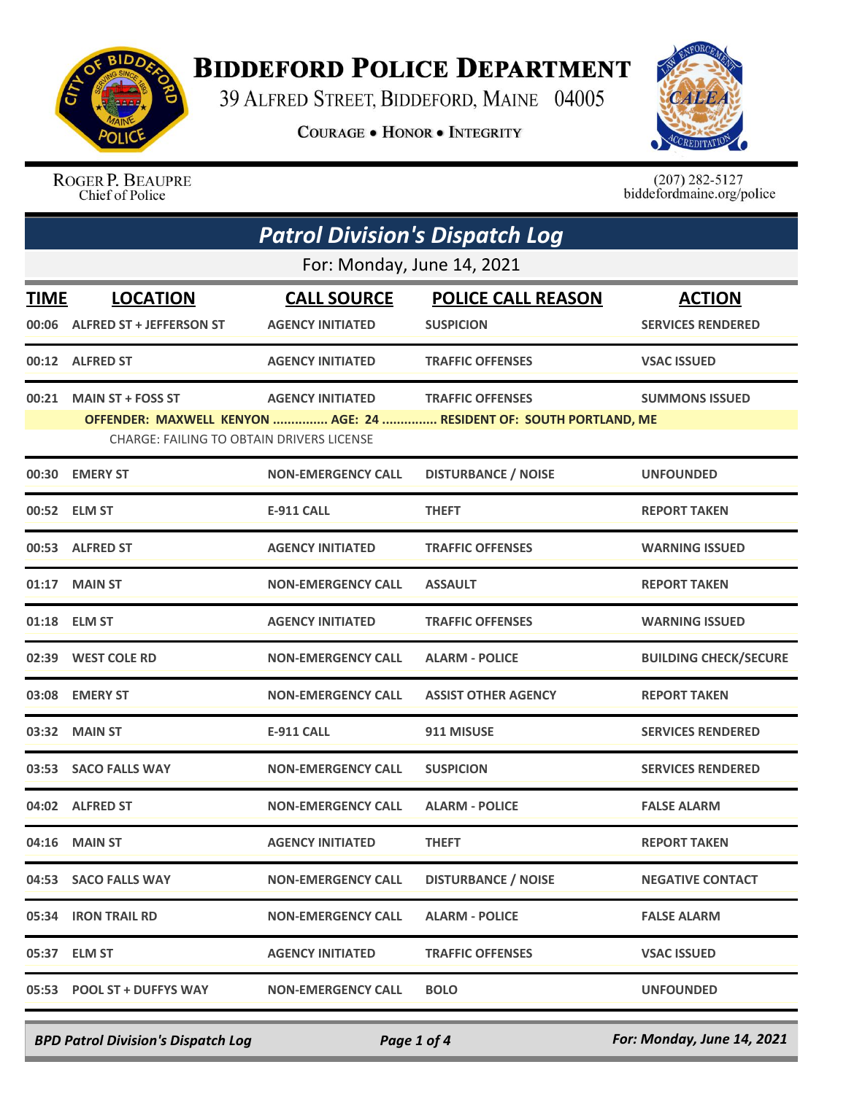

## **BIDDEFORD POLICE DEPARTMENT**

39 ALFRED STREET, BIDDEFORD, MAINE 04005

**COURAGE . HONOR . INTEGRITY** 



ROGER P. BEAUPRE Chief of Police

 $(207)$  282-5127<br>biddefordmaine.org/police

| <b>Patrol Division's Dispatch Log</b> |                                                                       |                                               |                                                                                               |                                           |  |
|---------------------------------------|-----------------------------------------------------------------------|-----------------------------------------------|-----------------------------------------------------------------------------------------------|-------------------------------------------|--|
|                                       | For: Monday, June 14, 2021                                            |                                               |                                                                                               |                                           |  |
| TIME<br>00:06                         | <b>LOCATION</b><br><b>ALFRED ST + JEFFERSON ST</b>                    | <b>CALL SOURCE</b><br><b>AGENCY INITIATED</b> | <b>POLICE CALL REASON</b><br><b>SUSPICION</b>                                                 | <b>ACTION</b><br><b>SERVICES RENDERED</b> |  |
|                                       | 00:12 ALFRED ST                                                       | <b>AGENCY INITIATED</b>                       | <b>TRAFFIC OFFENSES</b>                                                                       | <b>VSAC ISSUED</b>                        |  |
| 00:21                                 | <b>MAIN ST + FOSS ST</b><br>CHARGE: FAILING TO OBTAIN DRIVERS LICENSE | <b>AGENCY INITIATED</b>                       | <b>TRAFFIC OFFENSES</b><br>OFFENDER: MAXWELL KENYON  AGE: 24  RESIDENT OF: SOUTH PORTLAND, ME | <b>SUMMONS ISSUED</b>                     |  |
| 00:30                                 | <b>EMERY ST</b>                                                       | <b>NON-EMERGENCY CALL</b>                     | <b>DISTURBANCE / NOISE</b>                                                                    | <b>UNFOUNDED</b>                          |  |
|                                       | 00:52 ELM ST                                                          | E-911 CALL                                    | <b>THEFT</b>                                                                                  | <b>REPORT TAKEN</b>                       |  |
| 00:53                                 | <b>ALFRED ST</b>                                                      | <b>AGENCY INITIATED</b>                       | <b>TRAFFIC OFFENSES</b>                                                                       | <b>WARNING ISSUED</b>                     |  |
| 01:17                                 | <b>MAIN ST</b>                                                        | <b>NON-EMERGENCY CALL</b>                     | <b>ASSAULT</b>                                                                                | <b>REPORT TAKEN</b>                       |  |
|                                       | 01:18 ELM ST                                                          | <b>AGENCY INITIATED</b>                       | <b>TRAFFIC OFFENSES</b>                                                                       | <b>WARNING ISSUED</b>                     |  |
|                                       | 02:39 WEST COLE RD                                                    | <b>NON-EMERGENCY CALL</b>                     | <b>ALARM - POLICE</b>                                                                         | <b>BUILDING CHECK/SECURE</b>              |  |
| 03:08                                 | <b>EMERY ST</b>                                                       | <b>NON-EMERGENCY CALL</b>                     | <b>ASSIST OTHER AGENCY</b>                                                                    | <b>REPORT TAKEN</b>                       |  |
| 03:32                                 | <b>MAIN ST</b>                                                        | E-911 CALL                                    | 911 MISUSE                                                                                    | <b>SERVICES RENDERED</b>                  |  |
| 03:53                                 | <b>SACO FALLS WAY</b>                                                 | <b>NON-EMERGENCY CALL</b>                     | <b>SUSPICION</b>                                                                              | <b>SERVICES RENDERED</b>                  |  |
| 04:02                                 | <b>ALFRED ST</b>                                                      | <b>NON-EMERGENCY CALL</b>                     | <b>ALARM - POLICE</b>                                                                         | <b>FALSE ALARM</b>                        |  |
|                                       | 04:16 MAIN ST                                                         | <b>AGENCY INITIATED</b>                       | <b>THEFT</b>                                                                                  | <b>REPORT TAKEN</b>                       |  |
|                                       | 04:53 SACO FALLS WAY                                                  | <b>NON-EMERGENCY CALL</b>                     | <b>DISTURBANCE / NOISE</b>                                                                    | <b>NEGATIVE CONTACT</b>                   |  |
|                                       | 05:34 IRON TRAIL RD                                                   | <b>NON-EMERGENCY CALL</b>                     | <b>ALARM - POLICE</b>                                                                         | <b>FALSE ALARM</b>                        |  |
|                                       | 05:37 ELM ST                                                          | <b>AGENCY INITIATED</b>                       | <b>TRAFFIC OFFENSES</b>                                                                       | <b>VSAC ISSUED</b>                        |  |
|                                       | 05:53 POOL ST + DUFFYS WAY                                            | <b>NON-EMERGENCY CALL</b>                     | <b>BOLO</b>                                                                                   | <b>UNFOUNDED</b>                          |  |

*BPD Patrol Division's Dispatch Log Page 1 of 4 For: Monday, June 14, 2021*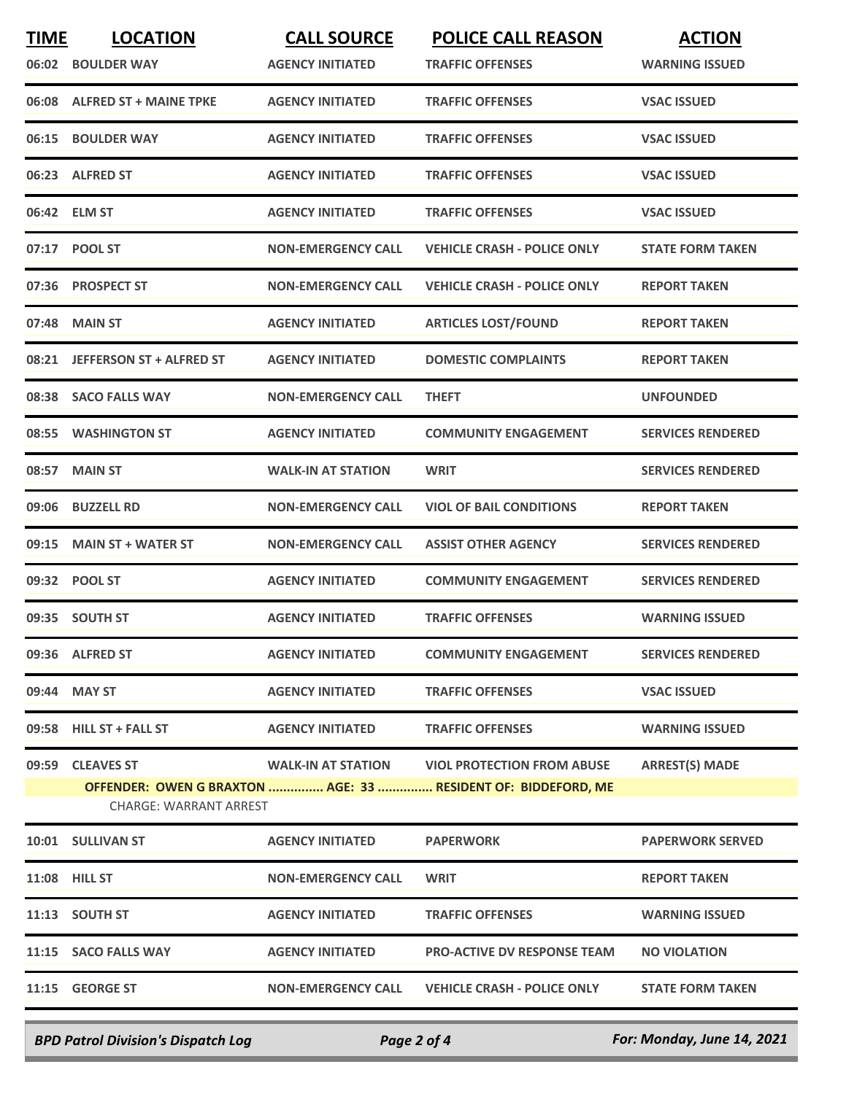| <b>TIME</b> | <b>LOCATION</b>               | <b>CALL SOURCE</b>        | <b>POLICE CALL REASON</b>                                     | <b>ACTION</b>            |
|-------------|-------------------------------|---------------------------|---------------------------------------------------------------|--------------------------|
| 06:02       | <b>BOULDER WAY</b>            | <b>AGENCY INITIATED</b>   | <b>TRAFFIC OFFENSES</b>                                       | <b>WARNING ISSUED</b>    |
|             | 06:08 ALFRED ST + MAINE TPKE  | <b>AGENCY INITIATED</b>   | <b>TRAFFIC OFFENSES</b>                                       | <b>VSAC ISSUED</b>       |
| 06:15       | <b>BOULDER WAY</b>            | <b>AGENCY INITIATED</b>   | <b>TRAFFIC OFFENSES</b>                                       | <b>VSAC ISSUED</b>       |
|             | 06:23 ALFRED ST               | <b>AGENCY INITIATED</b>   | <b>TRAFFIC OFFENSES</b>                                       | <b>VSAC ISSUED</b>       |
|             | 06:42 ELM ST                  | <b>AGENCY INITIATED</b>   | <b>TRAFFIC OFFENSES</b>                                       | <b>VSAC ISSUED</b>       |
|             | 07:17 POOL ST                 | <b>NON-EMERGENCY CALL</b> | <b>VEHICLE CRASH - POLICE ONLY</b>                            | <b>STATE FORM TAKEN</b>  |
|             | 07:36 PROSPECT ST             | <b>NON-EMERGENCY CALL</b> | <b>VEHICLE CRASH - POLICE ONLY</b>                            | <b>REPORT TAKEN</b>      |
| 07:48       | <b>MAIN ST</b>                | <b>AGENCY INITIATED</b>   | <b>ARTICLES LOST/FOUND</b>                                    | <b>REPORT TAKEN</b>      |
| 08:21       | JEFFERSON ST + ALFRED ST      | <b>AGENCY INITIATED</b>   | <b>DOMESTIC COMPLAINTS</b>                                    | <b>REPORT TAKEN</b>      |
|             | 08:38 SACO FALLS WAY          | <b>NON-EMERGENCY CALL</b> | <b>THEFT</b>                                                  | <b>UNFOUNDED</b>         |
|             | 08:55 WASHINGTON ST           | <b>AGENCY INITIATED</b>   | <b>COMMUNITY ENGAGEMENT</b>                                   | <b>SERVICES RENDERED</b> |
| 08:57       | <b>MAIN ST</b>                | <b>WALK-IN AT STATION</b> | <b>WRIT</b>                                                   | <b>SERVICES RENDERED</b> |
| 09:06       | <b>BUZZELL RD</b>             | <b>NON-EMERGENCY CALL</b> | <b>VIOL OF BAIL CONDITIONS</b>                                | <b>REPORT TAKEN</b>      |
| 09:15       | <b>MAIN ST + WATER ST</b>     | <b>NON-EMERGENCY CALL</b> | <b>ASSIST OTHER AGENCY</b>                                    | <b>SERVICES RENDERED</b> |
|             | 09:32 POOL ST                 | <b>AGENCY INITIATED</b>   | <b>COMMUNITY ENGAGEMENT</b>                                   | <b>SERVICES RENDERED</b> |
|             | 09:35 SOUTH ST                | <b>AGENCY INITIATED</b>   | <b>TRAFFIC OFFENSES</b>                                       | <b>WARNING ISSUED</b>    |
|             | 09:36 ALFRED ST               | <b>AGENCY INITIATED</b>   | <b>COMMUNITY ENGAGEMENT</b>                                   | <b>SERVICES RENDERED</b> |
|             | 09:44 MAY ST                  | <b>AGENCY INITIATED</b>   | <b>TRAFFIC OFFENSES</b>                                       | <b>VSAC ISSUED</b>       |
|             | 09:58 HILL ST + FALL ST       | <b>AGENCY INITIATED</b>   | <b>TRAFFIC OFFENSES</b>                                       | <b>WARNING ISSUED</b>    |
| 09:59       | <b>CLEAVES ST</b>             | <b>WALK-IN AT STATION</b> | <b>VIOL PROTECTION FROM ABUSE</b>                             | <b>ARREST(S) MADE</b>    |
|             | <b>CHARGE: WARRANT ARREST</b> |                           | OFFENDER: OWEN G BRAXTON  AGE: 33  RESIDENT OF: BIDDEFORD, ME |                          |
|             | 10:01 SULLIVAN ST             | <b>AGENCY INITIATED</b>   | <b>PAPERWORK</b>                                              | <b>PAPERWORK SERVED</b>  |
|             | 11:08 HILL ST                 | <b>NON-EMERGENCY CALL</b> | <b>WRIT</b>                                                   | <b>REPORT TAKEN</b>      |
|             | 11:13 SOUTH ST                | <b>AGENCY INITIATED</b>   | <b>TRAFFIC OFFENSES</b>                                       | <b>WARNING ISSUED</b>    |
|             | 11:15 SACO FALLS WAY          | <b>AGENCY INITIATED</b>   | <b>PRO-ACTIVE DV RESPONSE TEAM</b>                            | <b>NO VIOLATION</b>      |
|             | 11:15 GEORGE ST               | <b>NON-EMERGENCY CALL</b> | <b>VEHICLE CRASH - POLICE ONLY</b>                            | <b>STATE FORM TAKEN</b>  |
|             |                               |                           |                                                               |                          |

*BPD Patrol Division's Dispatch Log Page 2 of 4 For: Monday, June 14, 2021*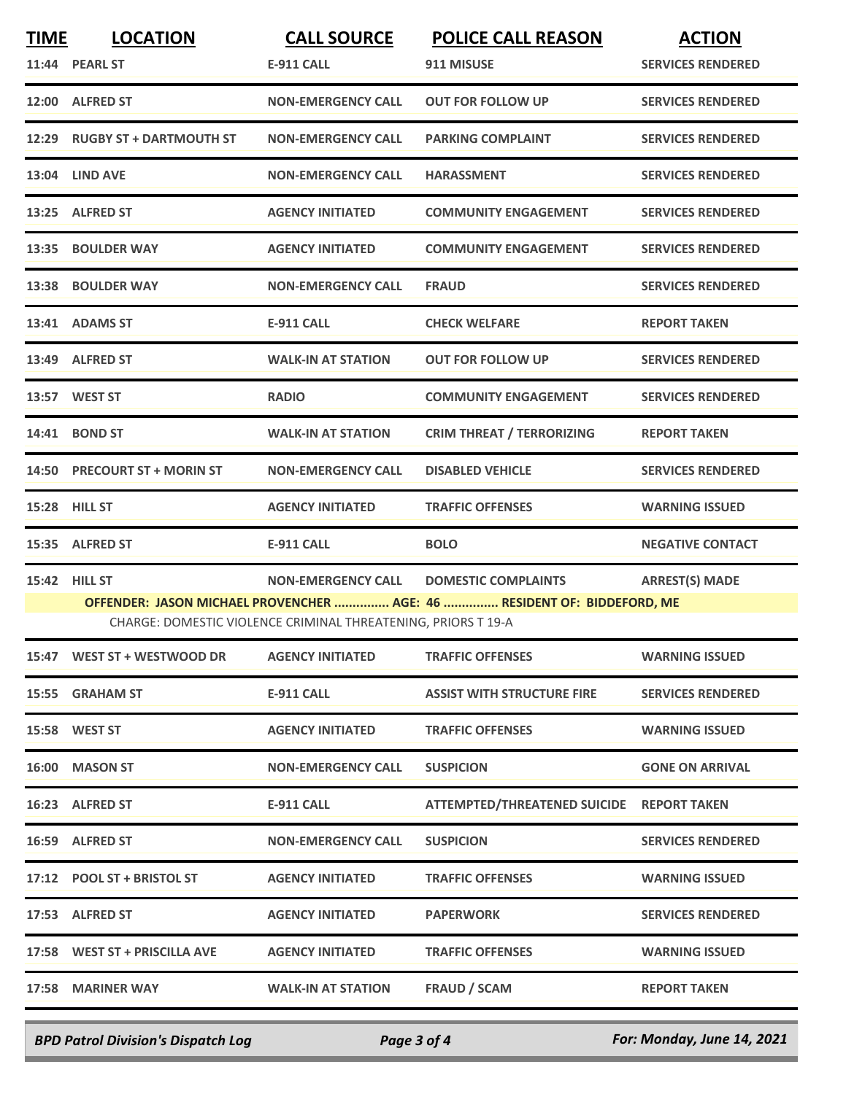| <b>TIME</b> | <b>LOCATION</b>                                                                                                                                                                                                                               | <b>CALL SOURCE</b>        | <b>POLICE CALL REASON</b>                 | <b>ACTION</b>            |  |
|-------------|-----------------------------------------------------------------------------------------------------------------------------------------------------------------------------------------------------------------------------------------------|---------------------------|-------------------------------------------|--------------------------|--|
|             | 11:44 PEARL ST                                                                                                                                                                                                                                | <b>E-911 CALL</b>         | 911 MISUSE                                | <b>SERVICES RENDERED</b> |  |
|             | 12:00 ALFRED ST                                                                                                                                                                                                                               | <b>NON-EMERGENCY CALL</b> | <b>OUT FOR FOLLOW UP</b>                  | <b>SERVICES RENDERED</b> |  |
|             | 12:29 RUGBY ST + DARTMOUTH ST                                                                                                                                                                                                                 | <b>NON-EMERGENCY CALL</b> | <b>PARKING COMPLAINT</b>                  | <b>SERVICES RENDERED</b> |  |
|             | 13:04 LIND AVE                                                                                                                                                                                                                                | <b>NON-EMERGENCY CALL</b> | <b>HARASSMENT</b>                         | <b>SERVICES RENDERED</b> |  |
|             | 13:25 ALFRED ST                                                                                                                                                                                                                               | <b>AGENCY INITIATED</b>   | <b>COMMUNITY ENGAGEMENT</b>               | <b>SERVICES RENDERED</b> |  |
|             | 13:35 BOULDER WAY                                                                                                                                                                                                                             | <b>AGENCY INITIATED</b>   | <b>COMMUNITY ENGAGEMENT</b>               | <b>SERVICES RENDERED</b> |  |
|             | 13:38 BOULDER WAY                                                                                                                                                                                                                             | <b>NON-EMERGENCY CALL</b> | <b>FRAUD</b>                              | <b>SERVICES RENDERED</b> |  |
|             | 13:41 ADAMS ST                                                                                                                                                                                                                                | <b>E-911 CALL</b>         | <b>CHECK WELFARE</b>                      | <b>REPORT TAKEN</b>      |  |
|             | 13:49 ALFRED ST                                                                                                                                                                                                                               | <b>WALK-IN AT STATION</b> | <b>OUT FOR FOLLOW UP</b>                  | <b>SERVICES RENDERED</b> |  |
|             | 13:57 WEST ST                                                                                                                                                                                                                                 | <b>RADIO</b>              | <b>COMMUNITY ENGAGEMENT</b>               | <b>SERVICES RENDERED</b> |  |
|             | 14:41 BOND ST                                                                                                                                                                                                                                 | <b>WALK-IN AT STATION</b> | <b>CRIM THREAT / TERRORIZING</b>          | <b>REPORT TAKEN</b>      |  |
| 14:50       | <b>PRECOURT ST + MORIN ST</b>                                                                                                                                                                                                                 | <b>NON-EMERGENCY CALL</b> | <b>DISABLED VEHICLE</b>                   | <b>SERVICES RENDERED</b> |  |
| 15:28       | <b>HILL ST</b>                                                                                                                                                                                                                                | <b>AGENCY INITIATED</b>   | <b>TRAFFIC OFFENSES</b>                   | <b>WARNING ISSUED</b>    |  |
|             | 15:35 ALFRED ST                                                                                                                                                                                                                               | <b>E-911 CALL</b>         | <b>BOLO</b>                               | <b>NEGATIVE CONTACT</b>  |  |
|             | <b>ARREST(S) MADE</b><br>15:42 HILL ST<br><b>NON-EMERGENCY CALL</b><br><b>DOMESTIC COMPLAINTS</b><br>OFFENDER: JASON MICHAEL PROVENCHER  AGE: 46  RESIDENT OF: BIDDEFORD, ME<br>CHARGE: DOMESTIC VIOLENCE CRIMINAL THREATENING, PRIORS T 19-A |                           |                                           |                          |  |
|             | 15:47 WEST ST + WESTWOOD DR                                                                                                                                                                                                                   | <b>AGENCY INITIATED</b>   | <b>TRAFFIC OFFENSES</b>                   | <b>WARNING ISSUED</b>    |  |
|             | 15:55 GRAHAM ST                                                                                                                                                                                                                               | E-911 CALL                | <b>ASSIST WITH STRUCTURE FIRE</b>         | <b>SERVICES RENDERED</b> |  |
|             | <b>15:58 WEST ST</b>                                                                                                                                                                                                                          | <b>AGENCY INITIATED</b>   | <b>TRAFFIC OFFENSES</b>                   | <b>WARNING ISSUED</b>    |  |
|             | 16:00 MASON ST                                                                                                                                                                                                                                | <b>NON-EMERGENCY CALL</b> | <b>SUSPICION</b>                          | <b>GONE ON ARRIVAL</b>   |  |
|             | 16:23 ALFRED ST                                                                                                                                                                                                                               | E-911 CALL                | ATTEMPTED/THREATENED SUICIDE REPORT TAKEN |                          |  |
|             | 16:59 ALFRED ST                                                                                                                                                                                                                               | <b>NON-EMERGENCY CALL</b> | <b>SUSPICION</b>                          | <b>SERVICES RENDERED</b> |  |
|             | 17:12 POOL ST + BRISTOL ST                                                                                                                                                                                                                    | <b>AGENCY INITIATED</b>   | <b>TRAFFIC OFFENSES</b>                   | <b>WARNING ISSUED</b>    |  |
|             | 17:53 ALFRED ST                                                                                                                                                                                                                               | <b>AGENCY INITIATED</b>   | <b>PAPERWORK</b>                          | <b>SERVICES RENDERED</b> |  |
|             | 17:58 WEST ST + PRISCILLA AVE                                                                                                                                                                                                                 | <b>AGENCY INITIATED</b>   | <b>TRAFFIC OFFENSES</b>                   | <b>WARNING ISSUED</b>    |  |
|             | 17:58 MARINER WAY                                                                                                                                                                                                                             | <b>WALK-IN AT STATION</b> | FRAUD / SCAM                              | <b>REPORT TAKEN</b>      |  |
|             |                                                                                                                                                                                                                                               |                           |                                           |                          |  |

*BPD Patrol Division's Dispatch Log Page 3 of 4 For: Monday, June 14, 2021*